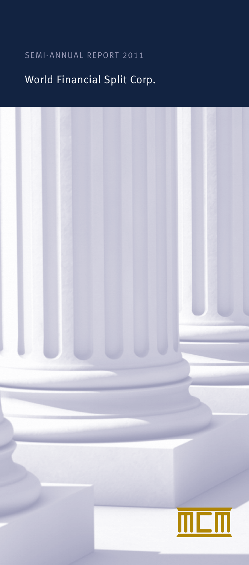# SEMI-ANNUAL REPORT 2011

# World Financial Split Corp.

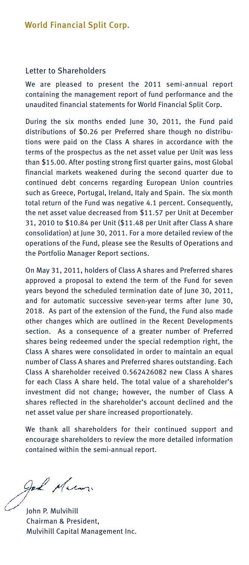#### Letter to Shareholders

We are pleased to present the 2011 semi-annual report containing the management report of fund performance and the unaudited financial statements for World Financial Split Corp.

During the six months ended June 30, 2011, the Fund paid distributions of \$0.26 per Preferred share though no distributions were paid on the Class A shares in accordance with the terms of the prospectus as the net asset value per Unit was less than \$15.00. After posting strong first quarter gains, most Global financial markets weakened during the second quarter due to continued debt concerns regarding European Union countries such as Greece, Portugal, Ireland, Italy and Spain. The six month total return of the Fund was negative 4.1 percent. Consequently, the net asset value decreased from \$11.57 per Unit at December 31, 2010 to \$10.84 per Unit (\$11.48 per Unit after Class A share consolidation) at June 30, 2011. For a more detailed review of the operations of the Fund, please see the Results of Operations and the Portfolio Manager Report sections.

On May 31, 2011, holders of Class A shares and Preferred shares approved a proposal to extend the term of the Fund for seven years beyond the scheduled termination date of June 30, 2011, and for automatic successive seven-year terms after June 30, 2018. As part of the extension of the Fund, the Fund also made other changes which are outlined in the Recent Developments section. As a consequence of a greater number of Preferred shares being redeemed under the special redemption right, the Class A shares were consolidated in order to maintain an equal number of Class A shares and Preferred shares outstanding. Each Class A shareholder received 0.562426082 new Class A shares for each Class A share held. The total value of a shareholder's investment did not change; however, the number of Class A shares reflected in the shareholder's account declined and the net asset value per share increased proportionately.

We thank all shareholders for their continued support and encourage shareholders to review the more detailed information contained within the semi-annual report.

god Mum

John P. Mulvihill Chairman & President, Mulvihill Capital Management Inc.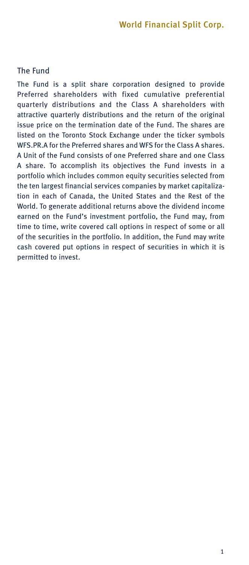### The Fund

The Fund is a split share corporation designed to provide Preferred shareholders with fixed cumulative preferential quarterly distributions and the Class A shareholders with attractive quarterly distributions and the return of the original issue price on the termination date of the Fund. The shares are listed on the Toronto Stock Exchange under the ticker symbols WFS.PR.A for the Preferred shares and WFS for the Class A shares. A Unit of the Fund consists of one Preferred share and one Class A share. To accomplish its objectives the Fund invests in a portfolio which includes common equity securities selected from the ten largest financial services companies by market capitalization in each of Canada, the United States and the Rest of the World. To generate additional returns above the dividend income earned on the Fund's investment portfolio, the Fund may, from time to time, write covered call options in respect of some or all of the securities in the portfolio. In addition, the Fund may write cash covered put options in respect of securities in which it is permitted to invest.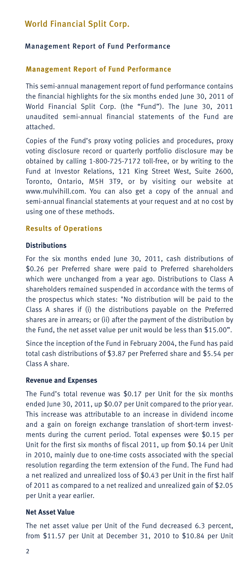#### Management Report of Fund Performance

#### **Management Report of Fund Performance**

This semi-annual management report of fund performance contains the financial highlights for the six months ended June 30, 2011 of World Financial Split Corp. (the "Fund"). The June 30, 2011 unaudited semi-annual financial statements of the Fund are attached.

Copies of the Fund's proxy voting policies and procedures, proxy voting disclosure record or quarterly portfolio disclosure may be obtained by calling 1-800-725-7172 toll-free, or by writing to the Fund at Investor Relations, 121 King Street West, Suite 2600, Toronto, Ontario, M5H 3T9, or by visiting our website at www.mulvihill.com. You can also get a copy of the annual and semi-annual financial statements at your request and at no cost by using one of these methods.

### **Results of Operations**

#### **Distributions**

For the six months ended June 30, 2011, cash distributions of \$0.26 per Preferred share were paid to Preferred shareholders which were unchanged from a year ago. Distributions to Class A shareholders remained suspended in accordance with the terms of the prospectus which states: "No distribution will be paid to the Class A shares if (i) the distributions payable on the Preferred shares are in arrears; or (ii) after the payment of the distribution by the Fund, the net asset value per unit would be less than \$15.00".

Since the inception of the Fund in February 2004, the Fund has paid total cash distributions of \$3.87 per Preferred share and \$5.54 per Class A share.

#### **Revenue and Expenses**

The Fund's total revenue was \$0.17 per Unit for the six months ended June 30, 2011, up \$0.07 per Unit compared to the prior year. This increase was attributable to an increase in dividend income and a gain on foreign exchange translation of short-term investments during the current period. Total expenses were \$0.15 per Unit for the first six months of fiscal 2011, up from \$0.14 per Unit in 2010, mainly due to one-time costs associated with the special resolution regarding the term extension of the Fund. The Fund had a net realized and unrealized loss of \$0.43 per Unit in the first half of 2011 as compared to a net realized and unrealized gain of \$2.05 per Unit a year earlier.

### **Net Asset Value**

The net asset value per Unit of the Fund decreased 6.3 percent, from \$11.57 per Unit at December 31, 2010 to \$10.84 per Unit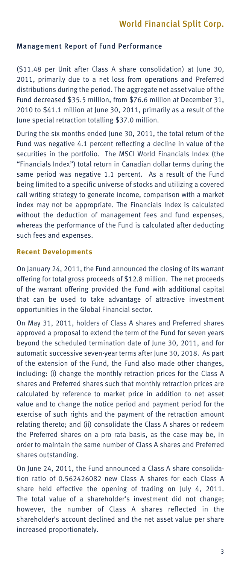### Management Report of Fund Performance

(\$11.48 per Unit after Class A share consolidation) at June 30, 2011, primarily due to a net loss from operations and Preferred distributions during the period. The aggregate net asset value of the Fund decreased \$35.5 million, from \$76.6 million at December 31, 2010 to \$41.1 million at June 30, 2011, primarily as a result of the June special retraction totalling \$37.0 million.

During the six months ended June 30, 2011, the total return of the Fund was negative 4.1 percent reflecting a decline in value of the securities in the portfolio. The MSCI World Financials Index (the "Financials Index") total return in Canadian dollar terms during the same period was negative 1.1 percent. As a result of the Fund being limited to a specific universe of stocks and utilizing a covered call writing strategy to generate income, comparison with a market index may not be appropriate. The Financials Index is calculated without the deduction of management fees and fund expenses, whereas the performance of the Fund is calculated after deducting such fees and expenses.

#### **Recent Developments**

On January 24, 2011, the Fund announced the closing of its warrant offering for total gross proceeds of \$12.8 million. The net proceeds of the warrant offering provided the Fund with additional capital that can be used to take advantage of attractive investment opportunities in the Global Financial sector.

On May 31, 2011, holders of Class A shares and Preferred shares approved a proposal to extend the term of the Fund for seven years beyond the scheduled termination date of June 30, 2011, and for automatic successive seven-year terms after June 30, 2018. As part of the extension of the Fund, the Fund also made other changes, including: (i) change the monthly retraction prices for the Class A shares and Preferred shares such that monthly retraction prices are calculated by reference to market price in addition to net asset value and to change the notice period and payment period for the exercise of such rights and the payment of the retraction amount relating thereto; and (ii) consolidate the Class A shares or redeem the Preferred shares on a pro rata basis, as the case may be, in order to maintain the same number of Class A shares and Preferred shares outstanding.

On June 24, 2011, the Fund announced a Class A share consolidation ratio of 0.562426082 new Class A shares for each Class A share held effective the opening of trading on July 4, 2011. The total value of a shareholder's investment did not change; however, the number of Class A shares reflected in the shareholder's account declined and the net asset value per share increased proportionately.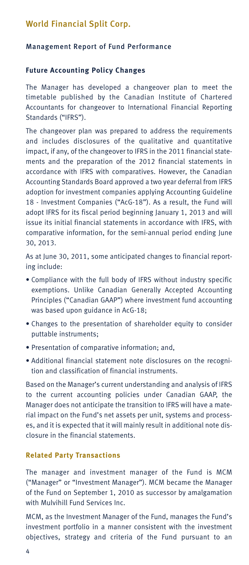### Management Report of Fund Performance

#### **Future Accounting Policy Changes**

The Manager has developed a changeover plan to meet the timetable published by the Canadian Institute of Chartered Accountants for changeover to International Financial Reporting Standards ("IFRS").

The changeover plan was prepared to address the requirements and includes disclosures of the qualitative and quantitative impact, if any, of the changeover to IFRS in the 2011 financial statements and the preparation of the 2012 financial statements in accordance with IFRS with comparatives. However, the Canadian Accounting Standards Board approved a two year deferral from IFRS adoption for investment companies applying Accounting Guideline 18 - Investment Companies ("AcG-18"). As a result, the Fund will adopt IFRS for its fiscal period beginning January 1, 2013 and will issue its initial financial statements in accordance with IFRS, with comparative information, for the semi-annual period ending June 30, 2013.

As at June 30, 2011, some anticipated changes to financial reporting include:

- Compliance with the full body of IFRS without industry specific exemptions. Unlike Canadian Generally Accepted Accounting Principles ("Canadian GAAP") where investment fund accounting was based upon guidance in AcG-18;
- Changes to the presentation of shareholder equity to consider puttable instruments;
- Presentation of comparative information; and,
- Additional financial statement note disclosures on the recognition and classification of financial instruments.

Based on the Manager's current understanding and analysis of IFRS to the current accounting policies under Canadian GAAP, the Manager does not anticipate the transition to IFRS will have a material impact on the Fund's net assets per unit, systems and processes, and it is expected that it will mainly result in additional note disclosure in the financial statements.

#### **Related Party Transactions**

The manager and investment manager of the Fund is MCM ("Manager" or "Investment Manager"). MCM became the Manager of the Fund on September 1, 2010 as successor by amalgamation with Mulvihill Fund Services Inc.

MCM, as the Investment Manager of the Fund, manages the Fund's investment portfolio in a manner consistent with the investment objectives, strategy and criteria of the Fund pursuant to an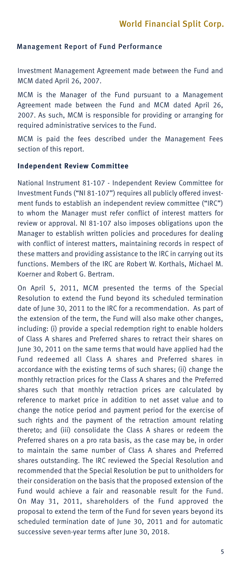#### Management Report of Fund Performance

Investment Management Agreement made between the Fund and MCM dated April 26, 2007.

MCM is the Manager of the Fund pursuant to a Management Agreement made between the Fund and MCM dated April 26, 2007. As such, MCM is responsible for providing or arranging for required administrative services to the Fund.

MCM is paid the fees described under the Management Fees section of this report.

#### **Independent Review Committee**

National Instrument 81-107 - Independent Review Committee for Investment Funds ("NI 81-107") requires all publicly offered investment funds to establish an independent review committee ("IRC") to whom the Manager must refer conflict of interest matters for review or approval. NI 81-107 also imposes obligations upon the Manager to establish written policies and procedures for dealing with conflict of interest matters, maintaining records in respect of these matters and providing assistance to the IRC in carrying out its functions. Members of the IRC are Robert W. Korthals, Michael M. Koerner and Robert G. Bertram.

On April 5, 2011, MCM presented the terms of the Special Resolution to extend the Fund beyond its scheduled termination date of June 30, 2011 to the IRC for a recommendation. As part of the extension of the term, the Fund will also make other changes, including: (i) provide a special redemption right to enable holders of Class A shares and Preferred shares to retract their shares on June 30, 2011 on the same terms that would have applied had the Fund redeemed all Class A shares and Preferred shares in accordance with the existing terms of such shares; (ii) change the monthly retraction prices for the Class A shares and the Preferred shares such that monthly retraction prices are calculated by reference to market price in addition to net asset value and to change the notice period and payment period for the exercise of such rights and the payment of the retraction amount relating thereto; and (iii) consolidate the Class A shares or redeem the Preferred shares on a pro rata basis, as the case may be, in order to maintain the same number of Class A shares and Preferred shares outstanding. The IRC reviewed the Special Resolution and recommended that the Special Resolution be put to unitholders for their consideration on the basis that the proposed extension of the Fund would achieve a fair and reasonable result for the Fund. On May 31, 2011, shareholders of the Fund approved the proposal to extend the term of the Fund for seven years beyond its scheduled termination date of June 30, 2011 and for automatic successive seven-year terms after June 30, 2018.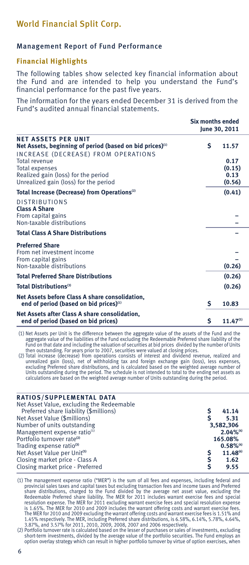### Management Report of Fund Performance

#### **Financial Highlights**

The following tables show selected key financial information about the Fund and are intended to help you understand the Fund's financial performance for the past five years.

The information for the years ended December 31 is derived from the Fund's audited annual financial statements.

|                                                                                                                                           | Six months ended<br>June 30, 2011 |                                  |  |  |
|-------------------------------------------------------------------------------------------------------------------------------------------|-----------------------------------|----------------------------------|--|--|
| <b>NET ASSETS PER UNIT</b><br>Net Assets, beginning of period (based on bid prices) <sup>(1)</sup><br>INCREASE (DECREASE) FROM OPERATIONS | Ś                                 | 11.57                            |  |  |
| Total revenue<br><b>Total expenses</b><br>Realized gain (loss) for the period<br>Unrealized gain (loss) for the period                    |                                   | 0.17<br>(0.15)<br>0.13<br>(0.56) |  |  |
| Total Increase (Decrease) from Operations <sup>(2)</sup>                                                                                  |                                   | (0.41)                           |  |  |
| <b>DISTRIBUTIONS</b><br><b>Class A Share</b><br>From capital gains<br>Non-taxable distributions                                           |                                   |                                  |  |  |
| <b>Total Class A Share Distributions</b>                                                                                                  |                                   |                                  |  |  |
| <b>Preferred Share</b><br>From net investment income<br>From capital gains<br>Non-taxable distributions                                   |                                   | (0.26)                           |  |  |
| <b>Total Preferred Share Distributions</b>                                                                                                |                                   | (0.26)                           |  |  |
| Total Distributions <sup>(3)</sup>                                                                                                        |                                   | (0.26)                           |  |  |
| Net Assets before Class A share consolidation,<br>end of period (based on bid prices) <sup>(1)</sup>                                      | Ś                                 | 10.83                            |  |  |
| Net Assets after Class A share consolidation,<br>end of period (based on bid prices)                                                      | Ś                                 | $11.47^{(5)}$                    |  |  |

(1) Net Assets per Unit is the difference between the aggregate value of the assets of the Fund and the)<br>aggregate value of the liabilities of the Fund excluding the Redeemable Preferred share liability of the<br>Fund on that

then outstanding. For years prior to 2007, securities were valued at closing prices. (2) Total increase (decrease) from operations consists of interest and dividend revenue, realized and unrealized gain (loss), net of withholding tax and foreign exchange gain (loss), less expenses, excluding Preferred share distributions, and is calculated based on the weighted average number of Units outstanding during the period. The schedule is not intended to total to the ending net assets as calculations are based on the weighted average number of Units outstanding during the period.

#### **RATIOS/SUPPLEMENTAL DATA**

| 41.14                   |
|-------------------------|
| 5.31                    |
| 3.582.306               |
| $2.04\%$ <sup>(4)</sup> |
| 165.08%                 |
| $0.58\%$ <sup>(4)</sup> |
| 11.48 <sup>(6)</sup>    |
| 1.62                    |
| 9.55                    |
|                         |

(1) The management expense ratio ("MER") is the sum of all fees and expenses, including federal and provincial sales taxes and capital taxes but excluding transaction fees and income taxes and Preferred<br>share distributions, charged to the Fund divided by the average net asset value, excluding the Redeemable Preferred share liability. The MER for 2011 includes warrant exercise fees and special resolution expense. The MER for 2011 excluding warrant exercise fees and special resolution expense is 1.65%. The MER for 2010 and 2009 includes the warrant offering costs and warrant exercise fees. The MER for 2010 and 2009 excluding the warrant offering costs and warrant exercise fees is 1.51% and 1.45% respectively. The MER, including Preferred share distributions, is 6.58%, 6.14%, 5.78%, 4.64%, 3.87%, and 3.57% for 2011, 2010, 2009, 2008, 2007 and 2006 respectively.

(2) Portfolio turnover rate is calculated based on the lesser of purchases or sales of investments, excluding short-term investments, divided by the average value of the portfolio securities. The Fund employs an option overlay strategy which can result in higher portfolio turnover by virtue of option exercises, when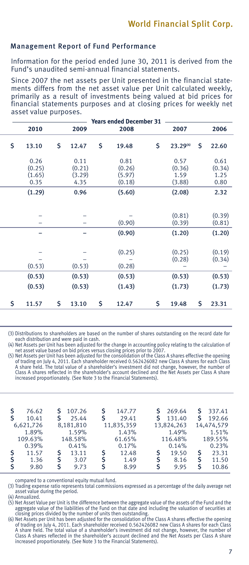#### Management Report of Fund Performance

Information for the period ended June 30, 2011 is derived from the Fund's unaudited semi-annual financial statements.

Since 2007 the net assets per Unit presented in the financial statements differs from the net asset value per Unit calculated weekly, primarily as a result of investments being valued at bid prices for financial statements purposes and at closing prices for weekly net asset value purposes.

| <b>Years ended December 31</b> |                |    |                |    |                          |    |                          |    |                  |  |
|--------------------------------|----------------|----|----------------|----|--------------------------|----|--------------------------|----|------------------|--|
|                                | 2010           |    | 2009           |    | 2008                     |    | 2007                     |    | 2006             |  |
| \$                             | 13.10          | Ŝ. | 12.47          | \$ | 19.48                    | \$ | 23.29(4)                 | Ś  | 22.60            |  |
|                                | 0.26<br>(0.25) |    | 0.11<br>(0.21) |    | 0.81<br>(0.26)           |    | 0.57<br>(0.36)           |    | 0.61<br>(0.34)   |  |
|                                | (1.65)<br>0.35 |    | (3.29)<br>4.35 |    | (5.97)<br>(0.18)         |    | 1.59<br>(3.88)           |    | 1.25<br>0.80     |  |
|                                | (1.29)         |    | 0.96           |    | (5.60)                   |    | (2.08)                   |    | 2.32             |  |
|                                |                |    |                |    |                          |    |                          |    |                  |  |
|                                | -              |    | $-$            |    | (0.90)                   |    | (0.81)<br>(0.39)         |    | (0.39)<br>(0.81) |  |
|                                |                |    |                |    | (0.90)                   |    | (1.20)                   |    | (1.20)           |  |
|                                |                |    |                |    | (0.25)                   |    | (0.25)                   |    |                  |  |
|                                |                |    | -              |    | $\overline{\phantom{0}}$ |    | (0.28)                   |    | (0.19)<br>(0.34) |  |
|                                | (0.53)         |    | (0.53)         |    | (0.28)                   |    | $\overline{\phantom{0}}$ |    |                  |  |
|                                | (0.53)         |    | (0.53)         |    | (0.53)                   |    | (0.53)                   |    | (0.53)           |  |
|                                | (0.53)         |    | (0.53)         |    | (1.43)                   |    | (1.73)                   |    | (1.73)           |  |
| \$                             | 11.57          | Ś. | 13.10          | \$ | 12.47                    | \$ | 19.48                    | \$ | 23.31            |  |
|                                |                |    |                |    |                          |    |                          |    |                  |  |

(3) Distributions to shareholders are based on the number of shares outstanding on the record date for each distribution and were paid in cash.

(4) Net Assets per Unit has been adjusted for the change in accounting policy relating to the calculation of net asset value based on bid prices versus closing prices prior to 2007.

(5) Net Assets per Unit has been adjusted for the consolidation of the Class A shares effective the opening of trading on July 4, 2011. Each shareholder received 0.562426082 new Class A shares for each Class A share held. The total value of a shareholder's investment did not change, however, the number of Class A shares reflected in the shareholder's account declined and the Net Assets per Class A share increased proportionately. (See Note 3 to the Financial Statements).

| Ś  | 76.62<br>10.41 |   | 107.26<br>25.44 | S<br>S | 147.77<br>29.41 |   | 269.64<br>131.40 | s | 337.41<br>192.66 |
|----|----------------|---|-----------------|--------|-----------------|---|------------------|---|------------------|
|    | 6,621,726      |   | 8,181,810       |        | 11,835,359      |   | 13,824,263       |   | 14,474,579       |
|    | 1.89%          |   | 1.59%           |        | 1.43%           |   | 1.49%            |   | 1.51%            |
|    | 109.63%        |   | 148.58%         |        | 61.65%          |   | 116.48%          |   | 189.55%          |
|    | 0.39%          |   | 0.41%           |        | 0.17%           |   | 0.14%            |   | 0.23%            |
| \$ | 11.57          | s | 13.11           | \$     | 12.48           | s | 19.50            | S | 23.31            |
| \$ | 1.36           | S | 3.07            | S      | 1.49            |   | 8.16             | S | 11.50            |
| Ś  | 9.80           | s | 9.73            | S      | 8.99            | s | 9.95             | S | 10.86            |

compared to a conventional equity mutual fund.

(3) Trading expense ratio represents total commissions expressed as a percentage of the daily average net asset value during the period.

(4) Annualized.

(5) Net Asset Value per Unit is the difference between the aggregate value of the assets of the Fund and the aggregate value of the liabilities of the Fund on that date and including the valuation of securities at closing prices divided by the number of units then outstanding. (6) Net Assets per Unit has been adjusted for the consolidation of the Class A shares effective the opening

of trading on July 4, 2011. Each shareholder received 0.562426082 new Class A shares for each Class A share held. The total value of a shareholder's investment did not change, however, the number of Class A shares reflected in the shareholder's account declined and the Net Assets per Class A share increased proportionately. (See Note 3 to the Financial Statements).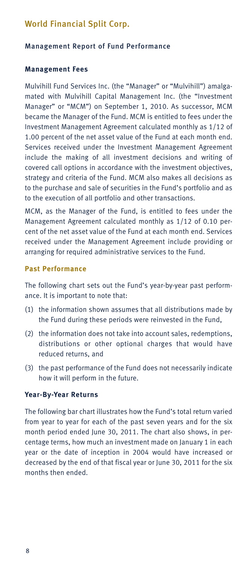#### Management Report of Fund Performance

#### **Management Fees**

Mulvihill Fund Services Inc. (the "Manager" or "Mulvihill") amalgamated with Mulvihill Capital Management Inc. (the "Investment Manager" or "MCM") on September 1, 2010. As successor, MCM became the Manager of the Fund. MCM is entitled to fees under the Investment Management Agreement calculated monthly as 1/12 of 1.00 percent of the net asset value of the Fund at each month end. Services received under the Investment Management Agreement include the making of all investment decisions and writing of covered call options in accordance with the investment objectives, strategy and criteria of the Fund. MCM also makes all decisions as to the purchase and sale of securities in the Fund's portfolio and as to the execution of all portfolio and other transactions.

MCM, as the Manager of the Fund, is entitled to fees under the Management Agreement calculated monthly as 1/12 of 0.10 percent of the net asset value of the Fund at each month end. Services received under the Management Agreement include providing or arranging for required administrative services to the Fund.

#### **Past Performance**

The following chart sets out the Fund's year-by-year past performance. It is important to note that:

- (1) the information shown assumes that all distributions made by the Fund during these periods were reinvested in the Fund,
- (2) the information does not take into account sales, redemptions, distributions or other optional charges that would have reduced returns, and
- (3) the past performance of the Fund does not necessarily indicate how it will perform in the future.

#### **Year-By-Year Returns**

The following bar chart illustrates how the Fund's total return varied from year to year for each of the past seven years and for the six month period ended June 30, 2011. The chart also shows, in percentage terms, how much an investment made on January 1 in each year or the date of inception in 2004 would have increased or decreased by the end of that fiscal year or June 30, 2011 for the six months then ended.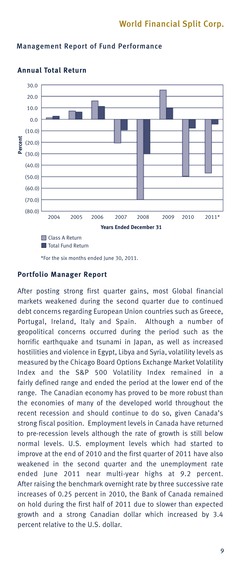

### Management Report of Fund Performance



\*For the six months ended June 30, 2011.

### **Portfolio Manager Report**

After posting strong first quarter gains, most Global financial markets weakened during the second quarter due to continued debt concerns regarding European Union countries such as Greece, Portugal, Ireland, Italy and Spain. Although a number of geopolitical concerns occurred during the period such as the horrific earthquake and tsunami in Japan, as well as increased hostilities and violence in Egypt, Libya and Syria, volatility levels as measured by the Chicago Board Options Exchange Market Volatility Index and the S&P 500 Volatility Index remained in a fairly defined range and ended the period at the lower end of the range. The Canadian economy has proved to be more robust than the economies of many of the developed world throughout the recent recession and should continue to do so, given Canada's strong fiscal position. Employment levels in Canada have returned to pre-recession levels although the rate of growth is still below normal levels. U.S. employment levels which had started to improve at the end of 2010 and the first quarter of 2011 have also weakened in the second quarter and the unemployment rate ended June 2011 near multi-year highs at 9.2 percent. After raising the benchmark overnight rate by three successive rate increases of 0.25 percent in 2010, the Bank of Canada remained on hold during the first half of 2011 due to slower than expected growth and a strong Canadian dollar which increased by 3.4 percent relative to the U.S. dollar.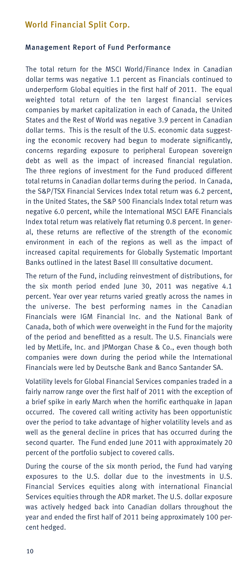### Management Report of Fund Performance

The total return for the MSCI World/Finance Index in Canadian dollar terms was negative 1.1 percent as Financials continued to underperform Global equities in the first half of 2011. The equal weighted total return of the ten largest financial services companies by market capitalization in each of Canada, the United States and the Rest of World was negative 3.9 percent in Canadian dollar terms. This is the result of the U.S. economic data suggesting the economic recovery had begun to moderate significantly, concerns regarding exposure to peripheral European sovereign debt as well as the impact of increased financial regulation. The three regions of investment for the Fund produced different total returns in Canadian dollar terms during the period. In Canada, the S&P/TSX Financial Services Index total return was 6.2 percent, in the United States, the S&P 500 Financials Index total return was negative 6.0 percent, while the International MSCI EAFE Financials Index total return was relatively flat returning 0.8 percent. In general, these returns are reflective of the strength of the economic environment in each of the regions as well as the impact of increased capital requirements for Globally Systematic Important Banks outlined in the latest Basel III consultative document.

The return of the Fund, including reinvestment of distributions, for the six month period ended June 30, 2011 was negative 4.1 percent. Year over year returns varied greatly across the names in the universe. The best performing names in the Canadian Financials were IGM Financial Inc. and the National Bank of Canada, both of which were overweight in the Fund for the majority of the period and benefitted as a result. The U.S. Financials were led by MetLife, Inc. and JPMorgan Chase & Co., even though both companies were down during the period while the International Financials were led by Deutsche Bank and Banco Santander SA.

Volatility levels for Global Financial Services companies traded in a fairly narrow range over the first half of 2011 with the exception of a brief spike in early March when the horrific earthquake in Japan occurred. The covered call writing activity has been opportunistic over the period to take advantage of higher volatility levels and as well as the general decline in prices that has occurred during the second quarter. The Fund ended June 2011 with approximately 20 percent of the portfolio subject to covered calls.

During the course of the six month period, the Fund had varying exposures to the U.S. dollar due to the investments in U.S. Financial Services equities along with international Financial Services equities through the ADR market. The U.S. dollar exposure was actively hedged back into Canadian dollars throughout the year and ended the first half of 2011 being approximately 100 percent hedged.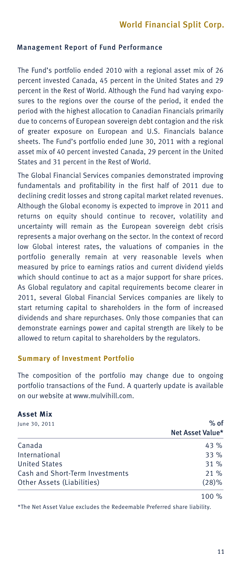### Management Report of Fund Performance

The Fund's portfolio ended 2010 with a regional asset mix of 26 percent invested Canada, 45 percent in the United States and 29 percent in the Rest of World. Although the Fund had varying exposures to the regions over the course of the period, it ended the period with the highest allocation to Canadian Financials primarily due to concerns of European sovereign debt contagion and the risk of greater exposure on European and U.S. Financials balance sheets. The Fund's portfolio ended June 30, 2011 with a regional asset mix of 40 percent invested Canada, 29 percent in the United States and 31 percent in the Rest of World.

The Global Financial Services companies demonstrated improving fundamentals and profitability in the first half of 2011 due to declining credit losses and strong capital market related revenues. Although the Global economy is expected to improve in 2011 and returns on equity should continue to recover, volatility and uncertainty will remain as the European sovereign debt crisis represents a major overhang on the sector. In the context of record low Global interest rates, the valuations of companies in the portfolio generally remain at very reasonable levels when measured by price to earnings ratios and current dividend yields which should continue to act as a major support for share prices. As Global regulatory and capital requirements become clearer in 2011, several Global Financial Services companies are likely to start returning capital to shareholders in the form of increased dividends and share repurchases. Only those companies that can demonstrate earnings power and capital strength are likely to be allowed to return capital to shareholders by the regulators.

#### **Summary of Investment Portfolio**

The composition of the portfolio may change due to ongoing portfolio transactions of the Fund. A quarterly update is available on our website at www.mulvihill.com.

### **Asset Mix**

| June 30, 2011                   | $%$ of           |
|---------------------------------|------------------|
|                                 | Net Asset Value* |
| Canada                          | 43%              |
| International                   | 33%              |
| <b>United States</b>            | 31%              |
| Cash and Short-Term Investments | $21 \%$          |
| Other Assets (Liabilities)      | $(28)\%$         |
|                                 | 100 %            |

\*The Net Asset Value excludes the Redeemable Preferred share liability.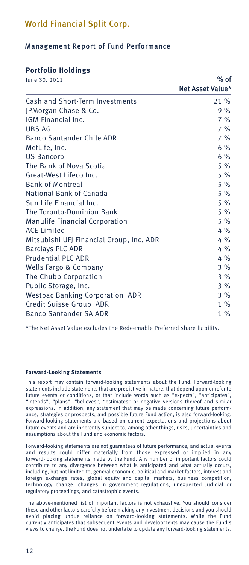### Management Report of Fund Performance

### **Portfolio Holdings**

| June 30, 2011                            | $%$ of           |  |  |  |  |
|------------------------------------------|------------------|--|--|--|--|
|                                          | Net Asset Value* |  |  |  |  |
| Cash and Short-Term Investments          | $21 \%$          |  |  |  |  |
| JPMorgan Chase & Co.                     | 9%               |  |  |  |  |
| IGM Financial Inc.                       | 7%               |  |  |  |  |
| UBS AG                                   | 7%               |  |  |  |  |
| <b>Banco Santander Chile ADR</b>         | 7%               |  |  |  |  |
| MetLife, Inc.                            | 6%               |  |  |  |  |
| <b>US Bancorp</b>                        | 6%               |  |  |  |  |
| The Bank of Nova Scotia                  | 5%               |  |  |  |  |
| Great-West Lifeco Inc.                   | 5%               |  |  |  |  |
| <b>Bank of Montreal</b>                  | 5%               |  |  |  |  |
| National Bank of Canada                  | 5%               |  |  |  |  |
| Sun Life Financial Inc.                  | 5%               |  |  |  |  |
| The Toronto-Dominion Bank                | 5%               |  |  |  |  |
| <b>Manulife Financial Corporation</b>    | 5%               |  |  |  |  |
| <b>ACE Limited</b>                       | $4\%$            |  |  |  |  |
| Mitsubishi UFJ Financial Group, Inc. ADR | $4\%$            |  |  |  |  |
| <b>Barclays PLC ADR</b>                  | $4\%$            |  |  |  |  |
| <b>Prudential PLC ADR</b>                | $4\%$            |  |  |  |  |
| Wells Fargo & Company                    | 3%               |  |  |  |  |
| The Chubb Corporation                    | 3%               |  |  |  |  |
| Public Storage, Inc.                     | 3%               |  |  |  |  |
| <b>Westpac Banking Corporation ADR</b>   | 3%               |  |  |  |  |
| Credit Suisse Group ADR                  | $1\%$            |  |  |  |  |
| <b>Banco Santander SA ADR</b>            | $1\%$            |  |  |  |  |

\*The Net Asset Value excludes the Redeemable Preferred share liability.

#### **Forward-Looking Statements**

This report may contain forward-looking statements about the Fund. Forward-looking statements include statements that are predictive in nature, that depend upon or refer to future events or conditions, or that include words such as "expects", "anticipates", "intends", "plans", "believes", "estimates" or negative versions thereof and similar expressions. In addition, any statement that may be made concerning future performance, strategies or prospects, and possible future Fund action, is also forward-looking. Forward-looking statements are based on current expectations and projections about future events and are inherently subject to, among other things, risks, uncertainties and assumptions about the Fund and economic factors.

Forward-looking statements are not guarantees of future performance, and actual events and results could differ materially from those expressed or implied in any forward-looking statements made by the Fund. Any number of important factors could contribute to any divergence between what is anticipated and what actually occurs, including, but not limited to, general economic, political and market factors, interest and foreign exchange rates, global equity and capital markets, business competition, technology change, changes in government regulations, unexpected judicial or regulatory proceedings, and catastrophic events.

The above-mentioned list of important factors is not exhaustive. You should consider these and other factors carefully before making any investment decisions and you should avoid placing undue reliance on forward-looking statements. While the Fund currently anticipates that subsequent events and developments may cause the Fund's views to change, the Fund does not undertake to update any forward-looking statements.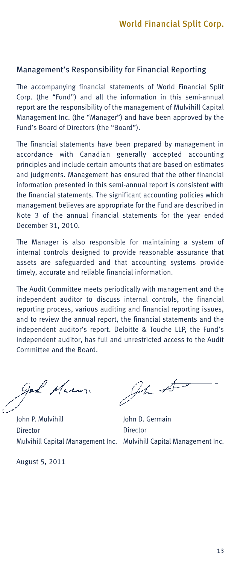### Management's Responsibility for Financial Reporting

The accompanying financial statements of World Financial Split Corp. (the "Fund") and all the information in this semi-annual report are the responsibility of the management of Mulvihill Capital Management Inc. (the "Manager") and have been approved by the Fund's Board of Directors (the "Board").

The financial statements have been prepared by management in accordance with Canadian generally accepted accounting principles and include certain amounts that are based on estimates and judgments. Management has ensured that the other financial information presented in this semi-annual report is consistent with the financial statements. The significant accounting policies which management believes are appropriate for the Fund are described in Note 3 of the annual financial statements for the year ended December 31, 2010.

The Manager is also responsible for maintaining a system of internal controls designed to provide reasonable assurance that assets are safeguarded and that accounting systems provide timely, accurate and reliable financial information.

The Audit Committee meets periodically with management and the independent auditor to discuss internal controls, the financial reporting process, various auditing and financial reporting issues, and to review the annual report, the financial statements and the independent auditor's report. Deloitte & Touche LLP, the Fund's independent auditor, has full and unrestricted access to the Audit Committee and the Board.

god Mum

John P. Mulvihill **Director** Mulvihill Capital Management Inc. Mulvihill Capital Management Inc.

August 5, 2011

 $94$  #

John D. Germain **Director**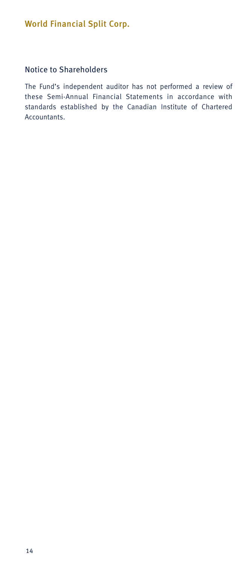### Notice to Shareholders

The Fund's independent auditor has not performed a review of these Semi-Annual Financial Statements in accordance with standards established by the Canadian Institute of Chartered Accountants.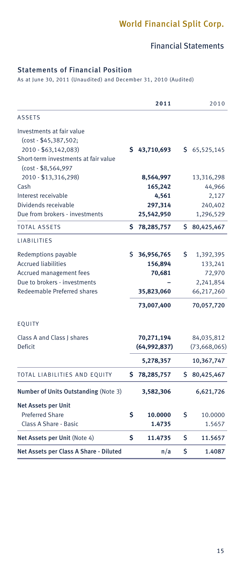### Financial Statements

### Statements of Financial Position

As at June 30, 2011 (Unaudited) and December 31, 2010 (Audited)

| <b>ASSETS</b><br>Investments at fair value<br>(cost - \$45,387,502;<br>2010 - \$63,142,083)<br>\$43,710,693<br>\$65,525,145<br>Short-term investments at fair value<br>(cost - \$8,564,997<br>2010 - \$13,316,298)<br>8,564,997<br>13,316,298<br>Cash<br>165,242<br>44,966<br>Interest receivable<br>4,561<br>2,127<br>Dividends receivable<br>297,314<br>240,402<br>Due from brokers - investments<br>25,542,950<br>1,296,529<br><b>TOTAL ASSETS</b><br>Ś.<br>Ś.<br>78,285,757<br>80,425,467<br><b>LIABILITIES</b><br>\$<br>Redemptions payable<br>S<br>36,956,765<br>1,392,395<br><b>Accrued liabilities</b><br>156,894<br>133,241<br>Accrued management fees<br>70,681<br>72,970<br>Due to brokers - investments<br>2,241,854<br>Redeemable Preferred shares<br>66,217,260<br>35,823,060<br>73,007,400<br>70,057,720<br>EQUITY<br>Class A and Class I shares<br>70,271,194<br>84,035,812<br>Deficit<br>(64,992,837)<br>(73,668,065)<br>5,278,357<br>10,367,747<br>Ś.<br>TOTAL LIABILITIES AND EQUITY<br>S.<br>78,285,757<br>80,425,467<br>Number of Units Outstanding (Note 3)<br>3,582,306<br>6,621,726<br><b>Net Assets per Unit</b><br>Ś<br><b>Preferred Share</b><br>Ś<br>10.0000<br>10.0000<br>Class A Share - Basic<br>1.4735<br>1.5657<br>Ś<br>\$<br>Net Assets per Unit (Note 4)<br>11.4735<br>11.5657<br>Ś<br>Net Assets per Class A Share - Diluted<br>n/a<br>1.4087 |  | 2011 | 2010 |
|-----------------------------------------------------------------------------------------------------------------------------------------------------------------------------------------------------------------------------------------------------------------------------------------------------------------------------------------------------------------------------------------------------------------------------------------------------------------------------------------------------------------------------------------------------------------------------------------------------------------------------------------------------------------------------------------------------------------------------------------------------------------------------------------------------------------------------------------------------------------------------------------------------------------------------------------------------------------------------------------------------------------------------------------------------------------------------------------------------------------------------------------------------------------------------------------------------------------------------------------------------------------------------------------------------------------------------------------------------------------------------------|--|------|------|
|                                                                                                                                                                                                                                                                                                                                                                                                                                                                                                                                                                                                                                                                                                                                                                                                                                                                                                                                                                                                                                                                                                                                                                                                                                                                                                                                                                                   |  |      |      |
|                                                                                                                                                                                                                                                                                                                                                                                                                                                                                                                                                                                                                                                                                                                                                                                                                                                                                                                                                                                                                                                                                                                                                                                                                                                                                                                                                                                   |  |      |      |
|                                                                                                                                                                                                                                                                                                                                                                                                                                                                                                                                                                                                                                                                                                                                                                                                                                                                                                                                                                                                                                                                                                                                                                                                                                                                                                                                                                                   |  |      |      |
|                                                                                                                                                                                                                                                                                                                                                                                                                                                                                                                                                                                                                                                                                                                                                                                                                                                                                                                                                                                                                                                                                                                                                                                                                                                                                                                                                                                   |  |      |      |
|                                                                                                                                                                                                                                                                                                                                                                                                                                                                                                                                                                                                                                                                                                                                                                                                                                                                                                                                                                                                                                                                                                                                                                                                                                                                                                                                                                                   |  |      |      |
|                                                                                                                                                                                                                                                                                                                                                                                                                                                                                                                                                                                                                                                                                                                                                                                                                                                                                                                                                                                                                                                                                                                                                                                                                                                                                                                                                                                   |  |      |      |
|                                                                                                                                                                                                                                                                                                                                                                                                                                                                                                                                                                                                                                                                                                                                                                                                                                                                                                                                                                                                                                                                                                                                                                                                                                                                                                                                                                                   |  |      |      |
|                                                                                                                                                                                                                                                                                                                                                                                                                                                                                                                                                                                                                                                                                                                                                                                                                                                                                                                                                                                                                                                                                                                                                                                                                                                                                                                                                                                   |  |      |      |
|                                                                                                                                                                                                                                                                                                                                                                                                                                                                                                                                                                                                                                                                                                                                                                                                                                                                                                                                                                                                                                                                                                                                                                                                                                                                                                                                                                                   |  |      |      |
|                                                                                                                                                                                                                                                                                                                                                                                                                                                                                                                                                                                                                                                                                                                                                                                                                                                                                                                                                                                                                                                                                                                                                                                                                                                                                                                                                                                   |  |      |      |
|                                                                                                                                                                                                                                                                                                                                                                                                                                                                                                                                                                                                                                                                                                                                                                                                                                                                                                                                                                                                                                                                                                                                                                                                                                                                                                                                                                                   |  |      |      |
|                                                                                                                                                                                                                                                                                                                                                                                                                                                                                                                                                                                                                                                                                                                                                                                                                                                                                                                                                                                                                                                                                                                                                                                                                                                                                                                                                                                   |  |      |      |
|                                                                                                                                                                                                                                                                                                                                                                                                                                                                                                                                                                                                                                                                                                                                                                                                                                                                                                                                                                                                                                                                                                                                                                                                                                                                                                                                                                                   |  |      |      |
|                                                                                                                                                                                                                                                                                                                                                                                                                                                                                                                                                                                                                                                                                                                                                                                                                                                                                                                                                                                                                                                                                                                                                                                                                                                                                                                                                                                   |  |      |      |
|                                                                                                                                                                                                                                                                                                                                                                                                                                                                                                                                                                                                                                                                                                                                                                                                                                                                                                                                                                                                                                                                                                                                                                                                                                                                                                                                                                                   |  |      |      |
|                                                                                                                                                                                                                                                                                                                                                                                                                                                                                                                                                                                                                                                                                                                                                                                                                                                                                                                                                                                                                                                                                                                                                                                                                                                                                                                                                                                   |  |      |      |
|                                                                                                                                                                                                                                                                                                                                                                                                                                                                                                                                                                                                                                                                                                                                                                                                                                                                                                                                                                                                                                                                                                                                                                                                                                                                                                                                                                                   |  |      |      |
|                                                                                                                                                                                                                                                                                                                                                                                                                                                                                                                                                                                                                                                                                                                                                                                                                                                                                                                                                                                                                                                                                                                                                                                                                                                                                                                                                                                   |  |      |      |
|                                                                                                                                                                                                                                                                                                                                                                                                                                                                                                                                                                                                                                                                                                                                                                                                                                                                                                                                                                                                                                                                                                                                                                                                                                                                                                                                                                                   |  |      |      |
|                                                                                                                                                                                                                                                                                                                                                                                                                                                                                                                                                                                                                                                                                                                                                                                                                                                                                                                                                                                                                                                                                                                                                                                                                                                                                                                                                                                   |  |      |      |
|                                                                                                                                                                                                                                                                                                                                                                                                                                                                                                                                                                                                                                                                                                                                                                                                                                                                                                                                                                                                                                                                                                                                                                                                                                                                                                                                                                                   |  |      |      |
|                                                                                                                                                                                                                                                                                                                                                                                                                                                                                                                                                                                                                                                                                                                                                                                                                                                                                                                                                                                                                                                                                                                                                                                                                                                                                                                                                                                   |  |      |      |
|                                                                                                                                                                                                                                                                                                                                                                                                                                                                                                                                                                                                                                                                                                                                                                                                                                                                                                                                                                                                                                                                                                                                                                                                                                                                                                                                                                                   |  |      |      |
|                                                                                                                                                                                                                                                                                                                                                                                                                                                                                                                                                                                                                                                                                                                                                                                                                                                                                                                                                                                                                                                                                                                                                                                                                                                                                                                                                                                   |  |      |      |
|                                                                                                                                                                                                                                                                                                                                                                                                                                                                                                                                                                                                                                                                                                                                                                                                                                                                                                                                                                                                                                                                                                                                                                                                                                                                                                                                                                                   |  |      |      |
|                                                                                                                                                                                                                                                                                                                                                                                                                                                                                                                                                                                                                                                                                                                                                                                                                                                                                                                                                                                                                                                                                                                                                                                                                                                                                                                                                                                   |  |      |      |
|                                                                                                                                                                                                                                                                                                                                                                                                                                                                                                                                                                                                                                                                                                                                                                                                                                                                                                                                                                                                                                                                                                                                                                                                                                                                                                                                                                                   |  |      |      |
|                                                                                                                                                                                                                                                                                                                                                                                                                                                                                                                                                                                                                                                                                                                                                                                                                                                                                                                                                                                                                                                                                                                                                                                                                                                                                                                                                                                   |  |      |      |
|                                                                                                                                                                                                                                                                                                                                                                                                                                                                                                                                                                                                                                                                                                                                                                                                                                                                                                                                                                                                                                                                                                                                                                                                                                                                                                                                                                                   |  |      |      |
|                                                                                                                                                                                                                                                                                                                                                                                                                                                                                                                                                                                                                                                                                                                                                                                                                                                                                                                                                                                                                                                                                                                                                                                                                                                                                                                                                                                   |  |      |      |
|                                                                                                                                                                                                                                                                                                                                                                                                                                                                                                                                                                                                                                                                                                                                                                                                                                                                                                                                                                                                                                                                                                                                                                                                                                                                                                                                                                                   |  |      |      |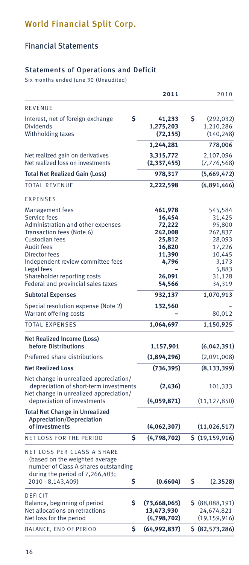# Financial Statements

### Statements of Operations and Deficit

Six months ended June 30 (Unaudited)

|                                                                                                                                                                                                                                                    | 2011                                                                                    | 2010                                                                                             |
|----------------------------------------------------------------------------------------------------------------------------------------------------------------------------------------------------------------------------------------------------|-----------------------------------------------------------------------------------------|--------------------------------------------------------------------------------------------------|
| REVENUE                                                                                                                                                                                                                                            |                                                                                         |                                                                                                  |
| \$<br>Interest, net of foreign exchange<br><b>Dividends</b>                                                                                                                                                                                        | 41,233<br>1,275,203                                                                     | \$<br>(292, 032)<br>1,210,286                                                                    |
| Withholding taxes                                                                                                                                                                                                                                  | (72, 155)<br>1,244,281                                                                  | (140, 248)<br>778,006                                                                            |
|                                                                                                                                                                                                                                                    |                                                                                         |                                                                                                  |
| Net realized gain on derivatives<br>Net realized loss on investments                                                                                                                                                                               | 3,315,772<br>(2, 337, 455)                                                              | 2,107,096<br>(7, 776, 568)                                                                       |
| <b>Total Net Realized Gain (Loss)</b>                                                                                                                                                                                                              | 978,317                                                                                 | (5,669,472)                                                                                      |
| <b>TOTAL REVENUE</b>                                                                                                                                                                                                                               | 2,222,598                                                                               | (4,891,466)                                                                                      |
| <b>EXPENSES</b>                                                                                                                                                                                                                                    |                                                                                         |                                                                                                  |
| <b>Management fees</b><br>Service fees<br>Administration and other expenses<br>Transaction fees (Note 6)<br>Custodian fees<br><b>Audit fees</b><br>Director fees<br>Independent review committee fees<br>Legal fees<br>Shareholder reporting costs | 461,978<br>16,454<br>72,222<br>242,008<br>25,812<br>16,820<br>11,390<br>4,796<br>26,091 | 545,584<br>31,425<br>95,800<br>267,837<br>28,093<br>17,226<br>10,445<br>3,173<br>5,883<br>31,128 |
| Federal and provincial sales taxes                                                                                                                                                                                                                 | 54,566                                                                                  | 34,319<br>1,070,913                                                                              |
| <b>Subtotal Expenses</b>                                                                                                                                                                                                                           | 932,137                                                                                 |                                                                                                  |
| Special resolution expense (Note 2)<br>Warrant offering costs                                                                                                                                                                                      | 132,560                                                                                 | 80,012                                                                                           |
| <b>TOTAL EXPENSES</b>                                                                                                                                                                                                                              | 1,064,697                                                                               | 1,150,925                                                                                        |
| Net Realized Income (Loss)<br><b>before Distributions</b>                                                                                                                                                                                          | 1,157,901                                                                               | (6,042,391)                                                                                      |
| Preferred share distributions                                                                                                                                                                                                                      | (1,894,296)                                                                             | (2,091,008)                                                                                      |
| <b>Net Realized Loss</b>                                                                                                                                                                                                                           | (736, 395)                                                                              | (8, 133, 399)                                                                                    |
| Net change in unrealized appreciation/<br>depreciation of short-term investments<br>Net change in unrealized appreciation/<br>depreciation of investments                                                                                          | (2, 436)<br>(4,059,871)                                                                 | 101,333<br>(11, 127, 850)                                                                        |
| <b>Total Net Change in Unrealized</b><br><b>Appreciation/Depreciation</b>                                                                                                                                                                          |                                                                                         |                                                                                                  |
| of Investments                                                                                                                                                                                                                                     | (4,062,307)                                                                             | (11, 026, 517)                                                                                   |
| NET LOSS FOR THE PERIOD<br>Ś                                                                                                                                                                                                                       | (4,798,702)                                                                             | \$ (19, 159, 916)                                                                                |
| NET LOSS PER CLASS A SHARE<br>(based on the weighted average<br>number of Class A shares outstanding<br>during the period of 7,266,403;<br>2010 - 8,143,409)<br>\$                                                                                 | (0.6604)                                                                                | \$<br>(2.3528)                                                                                   |
| <b>DEFICIT</b><br>Balance, beginning of period<br>\$<br>Net allocations on retractions<br>Net loss for the period                                                                                                                                  | (73,668,065)<br>13,473,930<br>(4,798,702)                                               | \$(88,088,191)<br>24,674,821<br>(19, 159, 916)                                                   |
| BALANCE, END OF PERIOD<br>\$                                                                                                                                                                                                                       | (64, 992, 837)                                                                          | \$ (82, 573, 286)                                                                                |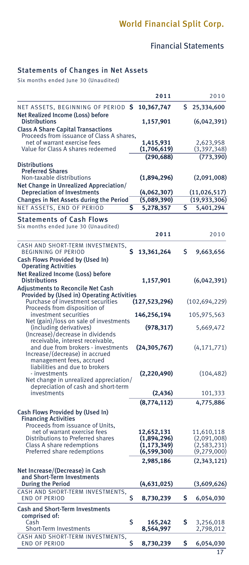# Financial Statements

### Statements of Changes in Net Assets

Six months ended June 30 (Unaudited)

|                                                                                                                             |    | 2011                           |    | 2010                           |
|-----------------------------------------------------------------------------------------------------------------------------|----|--------------------------------|----|--------------------------------|
| NET ASSETS, BEGINNING OF PERIOD \$<br>Net Realized Income (Loss) before                                                     |    | 10,367,747                     | \$ | 25,334,600                     |
| <b>Distributions</b><br><b>Class A Share Capital Transactions</b>                                                           |    | 1,157,901                      |    | (6,042,391)                    |
| Proceeds from issuance of Class A shares,<br>net of warrant exercise fees                                                   |    | 1,415,931                      |    | 2,623,958                      |
| Value for Class A shares redeemed                                                                                           |    | (1,706,619)                    |    | (3,397,348)                    |
| <b>Distributions</b>                                                                                                        |    | (290, 688)                     |    | (773, 390)                     |
| <b>Preferred Shares</b><br>Non-taxable distributions<br>Net Change in Unrealized Appreciation/                              |    | (1,894,296)                    |    | (2,091,008)                    |
| <b>Depreciation of Investments</b>                                                                                          |    | (4,062,307)                    |    | (11, 026, 517)                 |
| Changes in Net Assets during the Period                                                                                     |    | (5,089,390)                    |    | (19,933,306)                   |
| NET ASSETS, END OF PERIOD                                                                                                   | s  | 5,278,357                      | S  | 5,401,294                      |
| Statements of Cash Flows                                                                                                    |    |                                |    |                                |
| Six months ended June 30 (Unaudited)                                                                                        |    | 2011                           |    | 2010                           |
|                                                                                                                             |    |                                |    |                                |
| CASH AND SHORT-TERM INVESTMENTS,<br><b>BEGINNING OF PERIOD</b>                                                              | Ś  | 13,361,264                     | \$ | 9,663,656                      |
| Cash Flows Provided by (Used In)<br><b>Operating Activities</b>                                                             |    |                                |    |                                |
| Net Realized Income (Loss) before                                                                                           |    |                                |    |                                |
| <b>Distributions</b>                                                                                                        |    | 1,157,901                      |    | (6,042,391)                    |
| <b>Adjustments to Reconcile Net Cash</b><br>Provided by (Used in) Operating Activities<br>Purchase of investment securities |    | (127,523,296)                  |    | (102,694,229)                  |
| Proceeds from disposition of                                                                                                |    |                                |    |                                |
| investment securities<br>Net (gain)/loss on sale of investments                                                             |    | 146,256,194                    |    | 105,975,563                    |
| (including derivatives)<br>(Increase)/decrease in dividends<br>receivable, interest receivable,                             |    | (978, 317)                     |    | 5,669,472                      |
| and due from brokers - investments<br>Increase/(decrease) in accrued<br>management fees, accrued                            |    | (24, 305, 767)                 |    | (4, 171, 771)                  |
| liabilities and due to brokers                                                                                              |    |                                |    |                                |
| - investments<br>Net change in unrealized appreciation/                                                                     |    | (2,220,490)                    |    | (104, 482)                     |
| depreciation of cash and short-term                                                                                         |    |                                |    |                                |
| investments                                                                                                                 |    | (2, 436)                       |    | 101,333                        |
|                                                                                                                             |    | (8,774,112)                    |    | 4,775,886                      |
| Cash Flows Provided by (Used In)<br><b>Financing Activities</b><br>Proceeds from issuance of Units,                         |    |                                |    |                                |
| net of warrant exercise fees                                                                                                |    | 12,652,131                     |    | 11,610,118                     |
| Distributions to Preferred shares                                                                                           |    | (1,894,296)                    |    | (2,091,008)                    |
| Class A share redemptions<br>Preferred share redemptions                                                                    |    | (1, 173, 349)<br>(6, 599, 300) |    | (2, 583, 231)<br>(9, 279, 000) |
|                                                                                                                             |    | 2,985,186                      |    | (2,343,121)                    |
| Net Increase/(Decrease) in Cash                                                                                             |    |                                |    |                                |
| and Short-Term Investments                                                                                                  |    |                                |    |                                |
| <b>During the Period</b>                                                                                                    |    | (4,631,025)                    |    | (3,609,626)                    |
| CASH AND SHORT-TERM INVESTMENTS,<br>END OF PERIOD                                                                           | Ś  | 8,730,239                      | s  | 6,054,030                      |
| <b>Cash and Short-Term Investments</b>                                                                                      |    |                                |    |                                |
| comprised of:<br>Cash                                                                                                       | \$ | 165,242                        | \$ | 3,256,018                      |
| <b>Short-Term Investments</b>                                                                                               |    | 8,564,997                      |    | 2,798,012                      |
| CASH AND SHORT-TERM INVESTMENTS,<br><b>END OF PERIOD</b>                                                                    | \$ | 8,730,239                      | Ś  | 6,054,030                      |
|                                                                                                                             |    |                                |    | 17                             |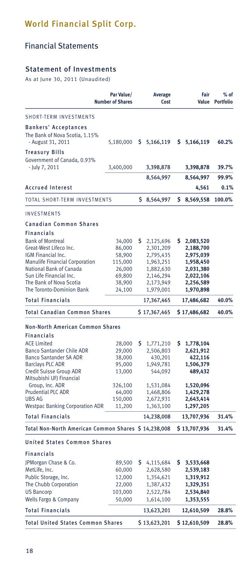# Financial Statements

### Statement of Investments

As at June 30, 2011 (Unaudited)

|                                                                                                                                                                                                                                                                                      | Par Value/<br><b>Number of Shares</b>                                                    |     | <b>Average</b><br>Cost                                                                                        |     | Fair                                                                                                          | $%$ of<br>Value Portfolio |
|--------------------------------------------------------------------------------------------------------------------------------------------------------------------------------------------------------------------------------------------------------------------------------------|------------------------------------------------------------------------------------------|-----|---------------------------------------------------------------------------------------------------------------|-----|---------------------------------------------------------------------------------------------------------------|---------------------------|
| SHORT-TERM INVESTMENTS                                                                                                                                                                                                                                                               |                                                                                          |     |                                                                                                               |     |                                                                                                               |                           |
| <b>Bankers' Acceptances</b><br>The Bank of Nova Scotia, 1.15%<br>- August 31, 2011                                                                                                                                                                                                   | 5,180,000                                                                                |     | 5,166,119                                                                                                     |     | \$5,166,119                                                                                                   | 60.2%                     |
| <b>Treasury Bills</b><br>Government of Canada, 0.93%<br>- July 7, 2011                                                                                                                                                                                                               | 3,400,000                                                                                |     | 3,398,878                                                                                                     |     | 3,398,878                                                                                                     | 39.7%                     |
|                                                                                                                                                                                                                                                                                      |                                                                                          |     | 8,564,997                                                                                                     |     | 8,564,997                                                                                                     | 99.9%                     |
| <b>Accrued Interest</b>                                                                                                                                                                                                                                                              |                                                                                          |     |                                                                                                               |     | 4,561                                                                                                         | 0.1%                      |
| TOTAL SHORT-TERM INVESTMENTS                                                                                                                                                                                                                                                         |                                                                                          | S.  | 8,564,997                                                                                                     | \$  | 8,569,558                                                                                                     | 100.0%                    |
| INVESTMENTS                                                                                                                                                                                                                                                                          |                                                                                          |     |                                                                                                               |     |                                                                                                               |                           |
| <b>Canadian Common Shares</b>                                                                                                                                                                                                                                                        |                                                                                          |     |                                                                                                               |     |                                                                                                               |                           |
| <b>Financials</b>                                                                                                                                                                                                                                                                    |                                                                                          |     |                                                                                                               |     |                                                                                                               |                           |
| <b>Bank of Montreal</b><br>Great-West Lifeco Inc.<br>IGM Financial Inc.<br><b>Manulife Financial Corporation</b><br>National Bank of Canada<br>Sun Life Financial Inc.<br>The Bank of Nova Scotia<br>The Toronto-Dominion Bank                                                       | 34,000<br>86,000<br>58,900<br>115,000<br>26,000<br>69,800<br>38,900<br>24,100            | \$  | 2,125,696<br>2,301,209<br>2,795,435<br>1,963,251<br>1,882,630<br>2,146,294<br>2,173,949<br>1,979,001          |     | \$2,083,520<br>2,188,700<br>2,975,039<br>1,958,450<br>2,031,380<br>2,022,106<br>2,256,589<br>1,970,898        |                           |
| <b>Total Financials</b>                                                                                                                                                                                                                                                              |                                                                                          |     | 17,367,465                                                                                                    |     | 17,486,682                                                                                                    | 40.0%                     |
| <b>Total Canadian Common Shares</b>                                                                                                                                                                                                                                                  |                                                                                          |     | \$17,367,465                                                                                                  |     | \$17,486,682                                                                                                  | 40.0%                     |
| <b>Non-North American Common Shares</b>                                                                                                                                                                                                                                              |                                                                                          |     |                                                                                                               |     |                                                                                                               |                           |
| <b>Financials</b>                                                                                                                                                                                                                                                                    |                                                                                          |     |                                                                                                               |     |                                                                                                               |                           |
| <b>ACE Limited</b><br><b>Banco Santander Chile ADR</b><br><b>Banco Santander SA ADR</b><br><b>Barclays PLC ADR</b><br>Credit Suisse Group ADR<br>Mitsubishi UFJ Financial<br>Group, Inc. ADR<br><b>Prudential PLC ADR</b><br><b>UBS AG</b><br><b>Westpac Banking Corporation ADR</b> | 28,000<br>29,000<br>38,000<br>95,000<br>13,000<br>326,100<br>64,000<br>150,000<br>11,200 | s   | 1,771,210<br>2,506,803<br>430,201<br>1,949,781<br>544,092<br>1,531,084<br>1,468,806<br>2,672,931<br>1,363,100 | s   | 1,778,104<br>2,621,912<br>422,116<br>1,506,379<br>489,432<br>1,520,096<br>1,429,278<br>2,643,414<br>1,297,205 |                           |
| <b>Total Financials</b>                                                                                                                                                                                                                                                              |                                                                                          |     | 14,238,008                                                                                                    |     | 13,707,936                                                                                                    | 31.4%                     |
| Total Non-North American Common Shares \$ 14,238,008                                                                                                                                                                                                                                 |                                                                                          |     |                                                                                                               |     | \$13,707,936                                                                                                  | 31.4%                     |
| <b>United States Common Shares</b>                                                                                                                                                                                                                                                   |                                                                                          |     |                                                                                                               |     |                                                                                                               |                           |
| Financials<br>JPMorgan Chase & Co.<br>MetLife, Inc.<br>Public Storage, Inc.<br>The Chubb Corporation<br><b>US Bancorp</b><br>Wells Fargo & Company                                                                                                                                   | 89,500<br>60,000<br>12,000<br>22,000<br>103,000<br>50,000                                | \$. | 4,115,684<br>2,628,580<br>1,354,621<br>1,387,432<br>2,522,784<br>1,614,100                                    | \$. | 3,533,668<br>2,539,183<br>1,319,912<br>1,329,351<br>2,534,840<br>1,353,555                                    |                           |
| <b>Total Financials</b>                                                                                                                                                                                                                                                              |                                                                                          |     | 13,623,201                                                                                                    |     | 12,610,509                                                                                                    | 28.8%                     |
| <b>Total United States Common Shares</b>                                                                                                                                                                                                                                             |                                                                                          |     | \$13,623,201                                                                                                  |     | \$12,610,509                                                                                                  | 28.8%                     |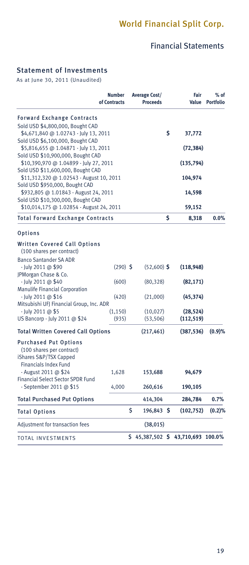# Financial Statements

### Statement of Investments

As at June 30, 2011 (Unaudited)

|                                                                                                                     | <b>Number</b><br>of Contracts | <b>Average Cost/</b><br><b>Proceeds</b> |    | Fair<br>Value                    | $%$ of<br><b>Portfolio</b> |
|---------------------------------------------------------------------------------------------------------------------|-------------------------------|-----------------------------------------|----|----------------------------------|----------------------------|
| <b>Forward Exchange Contracts</b>                                                                                   |                               |                                         |    |                                  |                            |
| Sold USD \$4,800,000, Bought CAD                                                                                    |                               |                                         |    |                                  |                            |
| \$4,671,840 @ 1.02743 - July 13, 2011                                                                               |                               |                                         | \$ | 37,772                           |                            |
| Sold USD \$6,100,000, Bought CAD                                                                                    |                               |                                         |    |                                  |                            |
| \$5,816,655 @ 1.04871 - July 13, 2011                                                                               |                               |                                         |    | (72, 384)                        |                            |
| Sold USD \$10,900,000, Bought CAD                                                                                   |                               |                                         |    |                                  |                            |
| \$10,390,970 @ 1.04899 - July 27, 2011                                                                              |                               |                                         |    | (135, 794)                       |                            |
| Sold USD \$11,600,000, Bought CAD                                                                                   |                               |                                         |    |                                  |                            |
| \$11,312,320 @ 1.02543 - August 10, 2011                                                                            |                               |                                         |    | 104,974                          |                            |
| Sold USD \$950,000, Bought CAD<br>\$932,805 @ 1.01843 - August 24, 2011                                             |                               |                                         |    |                                  |                            |
| Sold USD \$10,300,000, Bought CAD                                                                                   |                               |                                         |    | 14,598                           |                            |
| \$10,014,175 @ 1.02854 - August 24, 2011                                                                            |                               |                                         |    | 59,152                           |                            |
|                                                                                                                     |                               |                                         |    |                                  |                            |
| Total Forward Exchange Contracts                                                                                    |                               |                                         | Ś  | 8,318                            | $0.0\%$                    |
| Options                                                                                                             |                               |                                         |    |                                  |                            |
| <b>Written Covered Call Options</b>                                                                                 |                               |                                         |    |                                  |                            |
| (100 shares per contract)                                                                                           |                               |                                         |    |                                  |                            |
| <b>Banco Santander SA ADR</b>                                                                                       |                               |                                         |    |                                  |                            |
| - July 2011 @ \$90                                                                                                  | $(290)$ \$                    | $(52,600)$ \$                           |    | (118, 948)                       |                            |
| JPMorgan Chase & Co.                                                                                                |                               |                                         |    |                                  |                            |
| - July 2011 @ \$40                                                                                                  | (600)                         | (80, 328)                               |    | (82, 171)                        |                            |
| <b>Manulife Financial Corporation</b>                                                                               |                               |                                         |    |                                  |                            |
| - July 2011 @ \$16                                                                                                  | (420)                         | (21,000)                                |    | (45, 374)                        |                            |
| Mitsubishi UFJ Financial Group, Inc. ADR                                                                            |                               |                                         |    |                                  |                            |
| - July 2011 @ \$5                                                                                                   | (1, 150)                      | (10, 027)                               |    | (28, 524)                        |                            |
| US Bancorp - July 2011 @ \$24                                                                                       | (935)                         | (53, 506)                               |    | (112, 519)                       |                            |
| <b>Total Written Covered Call Options</b>                                                                           |                               | (217, 461)                              |    | (387, 536)                       | (0.9)%                     |
| <b>Purchased Put Options</b><br>(100 shares per contract)<br>iShares S&P/TSX Capped<br><b>Financials Index Fund</b> |                               |                                         |    |                                  |                            |
| - August 2011 @ \$24<br><b>Financial Select Sector SPDR Fund</b>                                                    | 1,628                         | 153,688                                 |    | 94,679                           |                            |
| - September 2011 @ \$15                                                                                             | 4,000                         | 260,616                                 |    | 190,105                          |                            |
| <b>Total Purchased Put Options</b>                                                                                  |                               | 414,304                                 |    | 284,784                          | 0.7%                       |
| Total Options                                                                                                       |                               | \$<br>196,843 \$                        |    | (102, 752)                       | (0.2)%                     |
| Adjustment for transaction fees                                                                                     |                               | (38, 015)                               |    |                                  |                            |
| TOTAL INVESTMENTS                                                                                                   |                               |                                         |    | \$45,387,502 \$43,710,693 100.0% |                            |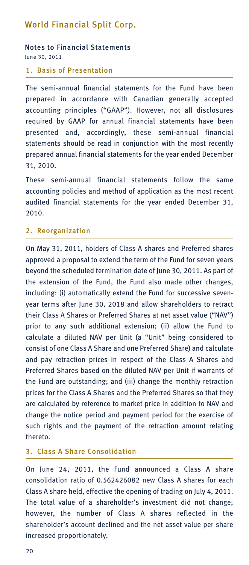#### Notes to Financial Statements June 30, 2011

### 1. Basis of Presentation

The semi-annual financial statements for the Fund have been prepared in accordance with Canadian generally accepted accounting principles ("GAAP"). However, not all disclosures required by GAAP for annual financial statements have been presented and, accordingly, these semi-annual financial statements should be read in conjunction with the most recently prepared annual financial statements for the year ended December 31, 2010.

These semi-annual financial statements follow the same accounting policies and method of application as the most recent audited financial statements for the year ended December 31, 2010.

#### 2. Reorganization

On May 31, 2011, holders of Class A shares and Preferred shares approved a proposal to extend the term of the Fund for seven years beyond the scheduled termination date of June 30, 2011. As part of the extension of the Fund, the Fund also made other changes, including: (i) automatically extend the Fund for successive sevenyear terms after June 30, 2018 and allow shareholders to retract their Class A Shares or Preferred Shares at net asset value ("NAV") prior to any such additional extension; (ii) allow the Fund to calculate a diluted NAV per Unit (a "Unit" being considered to consist of one Class A Share and one Preferred Share) and calculate and pay retraction prices in respect of the Class A Shares and Preferred Shares based on the diluted NAV per Unit if warrants of the Fund are outstanding; and (iii) change the monthly retraction prices for the Class A Shares and the Preferred Shares so that they are calculated by reference to market price in addition to NAV and change the notice period and payment period for the exercise of such rights and the payment of the retraction amount relating thereto.

### 3. Class A Share Consolidation

On June 24, 2011, the Fund announced a Class A share consolidation ratio of 0.562426082 new Class A shares for each Class A share held, effective the opening of trading on July 4, 2011. The total value of a shareholder's investment did not change; however, the number of Class A shares reflected in the shareholder's account declined and the net asset value per share increased proportionately.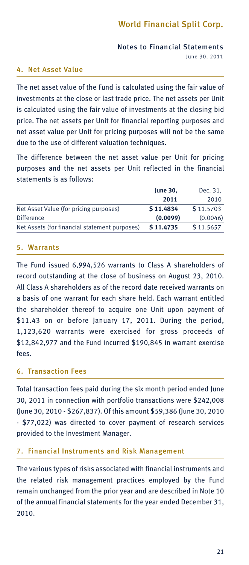### Notes to Financial Statements June 30, 2011

### 4. Net Asset Value

The net asset value of the Fund is calculated using the fair value of investments at the close or last trade price. The net assets per Unit is calculated using the fair value of investments at the closing bid price. The net assets per Unit for financial reporting purposes and net asset value per Unit for pricing purposes will not be the same due to the use of different valuation techniques.

The difference between the net asset value per Unit for pricing purposes and the net assets per Unit reflected in the financial statements is as follows:

|                                               | <b>June 30,</b> | Dec. 31,  |
|-----------------------------------------------|-----------------|-----------|
|                                               | 2011            | 2010      |
| Net Asset Value (for pricing purposes)        | \$11,4834       | \$11,5703 |
| <b>Difference</b>                             | (0.0099)        | (0.0046)  |
| Net Assets (for financial statement purposes) | \$11,4735       | \$11.5657 |

#### 5. Warrants

The Fund issued 6,994,526 warrants to Class A shareholders of record outstanding at the close of business on August 23, 2010. All Class A shareholders as of the record date received warrants on a basis of one warrant for each share held. Each warrant entitled the shareholder thereof to acquire one Unit upon payment of \$11.43 on or before January 17, 2011. During the period, 1,123,620 warrants were exercised for gross proceeds of \$12,842,977 and the Fund incurred \$190,845 in warrant exercise fees.

#### 6. Transaction Fees

Total transaction fees paid during the six month period ended June 30, 2011 in connection with portfolio transactions were \$242,008 (June 30, 2010 - \$267,837). Of this amount \$59,386 (June 30, 2010 - \$77,022) was directed to cover payment of research services provided to the Investment Manager.

#### 7. Financial Instruments and Risk Management

The various types of risks associated with financial instruments and the related risk management practices employed by the Fund remain unchanged from the prior year and are described in Note 10 of the annual financial statements for the year ended December 31, 2010.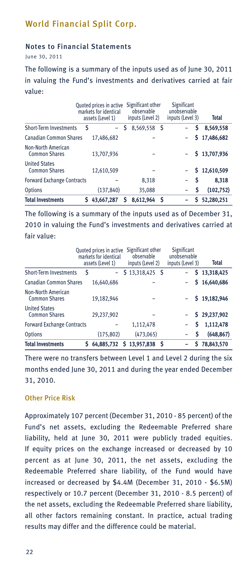### Notes to Financial Statements

June 30, 2011

The following is a summary of the inputs used as of June 30, 2011 in valuing the Fund's investments and derivatives carried at fair value:

|                                                   |   | Quoted prices in active<br>markets for identical<br>assets (Level 1) |   | Significant other<br>observable<br>inputs (Level 2) |    | <b>Significant</b><br>unobservable<br>inputs (Level 3) | Total        |
|---------------------------------------------------|---|----------------------------------------------------------------------|---|-----------------------------------------------------|----|--------------------------------------------------------|--------------|
| <b>Short-Term Investments</b>                     | Ś |                                                                      | S | 8,569,558 \$                                        |    | S                                                      | 8,569,558    |
| <b>Canadian Common Shares</b>                     |   | 17.486.682                                                           |   |                                                     |    |                                                        | \$17,486,682 |
| <b>Non-North American</b><br><b>Common Shares</b> |   | 13,707,936                                                           |   |                                                     |    |                                                        | \$13,707,936 |
| <b>United States</b><br><b>Common Shares</b>      |   | 12,610,509                                                           |   |                                                     |    |                                                        | \$12,610,509 |
| <b>Forward Exchange Contracts</b>                 |   |                                                                      |   | 8,318                                               |    | Ŝ                                                      | 8,318        |
| <b>Options</b>                                    |   | (137, 840)                                                           |   | 35,088                                              |    | S                                                      | (102, 752)   |
| <b>Total Investments</b>                          | Ś | 43,667,287                                                           | Ś | 8.612.964                                           | -S | S                                                      | 52.280.251   |

The following is a summary of the inputs used as of December 31, 2010 in valuing the Fund's investments and derivatives carried at fair value:

|                                                   |   | Quoted prices in active<br>markets for identical<br>assets (Level 1) | Significant other<br>observable<br>inputs (Level 2) | <b>Significant</b><br>unobservable<br>inputs (Level 3) | <b>Total</b> |
|---------------------------------------------------|---|----------------------------------------------------------------------|-----------------------------------------------------|--------------------------------------------------------|--------------|
| <b>Short-Term Investments</b>                     | Ś |                                                                      | $$13,318,425$ \$                                    |                                                        | \$13,318,425 |
| <b>Canadian Common Shares</b>                     |   | 16,640,686                                                           |                                                     |                                                        | \$16,640,686 |
| <b>Non-North American</b><br><b>Common Shares</b> |   | 19,182,946                                                           |                                                     |                                                        | \$19,182,946 |
| <b>United States</b><br><b>Common Shares</b>      |   | 29,237,902                                                           |                                                     |                                                        | \$29,237,902 |
| <b>Forward Exchange Contracts</b>                 |   |                                                                      | 1,112,478                                           | S                                                      | 1,112,478    |
| <b>Options</b>                                    |   | (175, 802)                                                           | (473,065)                                           | S                                                      | (648, 867)   |
| <b>Total Investments</b>                          | S |                                                                      | 64,885,732 \$ 13,957,838                            | s                                                      | 78,843,570   |

There were no transfers between Level 1 and Level 2 during the six months ended June 30, 2011 and during the year ended December 31, 2010.

### Other Price Risk

Approximately 107 percent (December 31, 2010 - 85 percent) of the Fund's net assets, excluding the Redeemable Preferred share liability, held at June 30, 2011 were publicly traded equities. If equity prices on the exchange increased or decreased by 10 percent as at June 30, 2011, the net assets, excluding the Redeemable Preferred share liability, of the Fund would have increased or decreased by \$4.4M (December 31, 2010 - \$6.5M) respectively or 10.7 percent (December 31, 2010 - 8.5 percent) of the net assets, excluding the Redeemable Preferred share liability, all other factors remaining constant. In practice, actual trading results may differ and the difference could be material.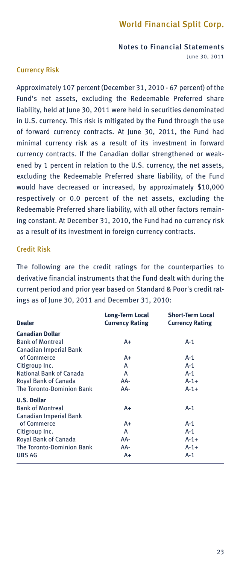Notes to Financial Statements June 30, 2011

### Currency Risk

Approximately 107 percent (December 31, 2010 - 67 percent) of the Fund's net assets, excluding the Redeemable Preferred share liability, held at June 30, 2011 were held in securities denominated in U.S. currency. This risk is mitigated by the Fund through the use of forward currency contracts. At June 30, 2011, the Fund had minimal currency risk as a result of its investment in forward currency contracts. If the Canadian dollar strengthened or weakened by 1 percent in relation to the U.S. currency, the net assets, excluding the Redeemable Preferred share liability, of the Fund would have decreased or increased, by approximately \$10,000 respectively or 0.0 percent of the net assets, excluding the Redeemable Preferred share liability, with all other factors remaining constant. At December 31, 2010, the Fund had no currency risk as a result of its investment in foreign currency contracts.

### Credit Risk

The following are the credit ratings for the counterparties to derivative financial instruments that the Fund dealt with during the current period and prior year based on Standard & Poor's credit ratings as of June 30, 2011 and December 31, 2010:

| <b>Dealer</b>                    | Long-Term Local<br><b>Currency Rating</b> | <b>Short-Term Local</b><br><b>Currency Rating</b> |  |
|----------------------------------|-------------------------------------------|---------------------------------------------------|--|
| <b>Canadian Dollar</b>           |                                           |                                                   |  |
| <b>Bank of Montreal</b>          | A+                                        | $A-1$                                             |  |
| <b>Canadian Imperial Bank</b>    |                                           |                                                   |  |
| of Commerce                      | A+                                        | $A-1$                                             |  |
| Citigroup Inc.                   | А                                         | $A-1$                                             |  |
| National Bank of Canada          | A                                         | $A-1$                                             |  |
| Royal Bank of Canada             | AA-                                       | $A - 1 +$                                         |  |
| <b>The Toronto-Dominion Bank</b> | AA-                                       | $A - 1 +$                                         |  |
| <b>U.S. Dollar</b>               |                                           |                                                   |  |
| <b>Bank of Montreal</b>          | A+                                        | $A-1$                                             |  |
| <b>Canadian Imperial Bank</b>    |                                           |                                                   |  |
| of Commerce                      | A+                                        | $A-1$                                             |  |
| Citigroup Inc.                   | А                                         | $A-1$                                             |  |
| <b>Royal Bank of Canada</b>      | AA-                                       | $A - 1 +$                                         |  |
| <b>The Toronto-Dominion Bank</b> | AA-                                       | $A - 1 +$                                         |  |
| <b>UBS AG</b>                    | A+                                        | A-1                                               |  |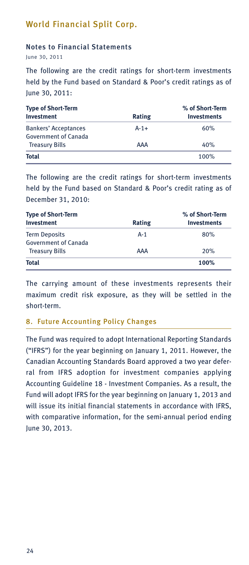### Notes to Financial Statements

June 30, 2011

The following are the credit ratings for short-term investments held by the Fund based on Standard & Poor's credit ratings as of June 30, 2011:

| <b>Type of Short-Term</b>   | % of Short-Term |                    |
|-----------------------------|-----------------|--------------------|
| Investment                  | Rating          | <b>Investments</b> |
| <b>Bankers' Acceptances</b> | $A - 1 +$       | 60%                |
| <b>Government of Canada</b> |                 |                    |
| <b>Treasury Bills</b>       | AAA             | 40%                |
| Total                       |                 | 100%               |

The following are the credit ratings for short-term investments held by the Fund based on Standard & Poor's credit rating as of December 31, 2010:

| <b>Type of Short-Term</b>   |        | % of Short-Term    |  |  |
|-----------------------------|--------|--------------------|--|--|
| Investment                  | Rating | <b>Investments</b> |  |  |
| <b>Term Deposits</b>        | $A-1$  | 80%                |  |  |
| <b>Government of Canada</b> |        |                    |  |  |
| <b>Treasury Bills</b>       | AAA    | 20%                |  |  |
| <b>Total</b>                |        | 100%               |  |  |

The carrying amount of these investments represents their maximum credit risk exposure, as they will be settled in the short-term.

### 8. Future Accounting Policy Changes

The Fund was required to adopt International Reporting Standards ("IFRS") for the year beginning on January 1, 2011. However, the Canadian Accounting Standards Board approved a two year deferral from IFRS adoption for investment companies applying Accounting Guideline 18 - Investment Companies. As a result, the Fund will adopt IFRS for the year beginning on January 1, 2013 and will issue its initial financial statements in accordance with IFRS, with comparative information, for the semi-annual period ending June 30, 2013.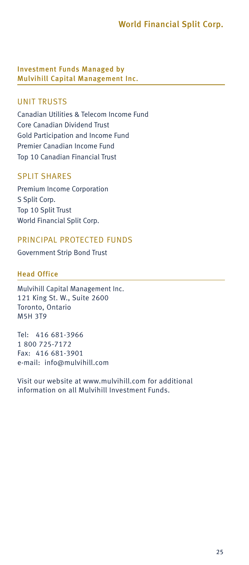Investment Funds Managed by Mulvihill Capital Management Inc.

### UNIT TRUSTS

Canadian Utilities & Telecom Income Fund Core Canadian Dividend Trust Gold Participation and Income Fund Premier Canadian Income Fund Top 10 Canadian Financial Trust

### SPLIT SHARES

Premium Income Corporation S Split Corp. Top 10 Split Trust World Financial Split Corp.

### PRINCIPAL PROTECTED FUNDS

Government Strip Bond Trust

### Head Office

Mulvihill Capital Management Inc. 121 King St. W., Suite 2600 Toronto, Ontario M5H 3T9

Tel: 416 681-3966 1 800 725-7172 Fax: 416 681-3901 e-mail: info@mulvihill.com

Visit our website at www.mulvihill.com for additional information on all Mulvihill Investment Funds.